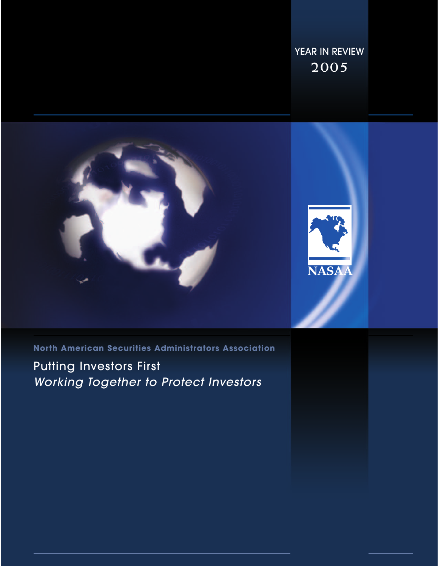YEAR IN REVIEW **2005**



**North American Securities Administrators Association**

Putting Investors First Working Together to Protect Investors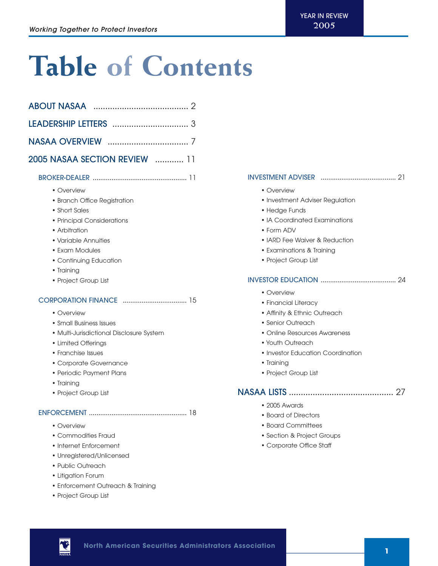## **Table of Contents**

| <b>2005 NASAA SECTION REVIEW [11]</b>                                                                                                                                                                                      |  |
|----------------------------------------------------------------------------------------------------------------------------------------------------------------------------------------------------------------------------|--|
|                                                                                                                                                                                                                            |  |
| • Overview<br>• Branch Office Registration<br>• Short Sales<br>• Principal Considerations<br>• Arbitration<br>• Variable Annuities<br>• Exam Modules<br>• Continuing Education<br>• Training<br>• Project Group List       |  |
| • Overview<br>• Small Business Issues<br>• Multi-Jurisdictional Disclosure System<br>• Limited Offerings<br>• Franchise Issues<br>• Corporate Governance<br>• Periodic Payment Plans<br>• Training<br>• Project Group List |  |
| • Overview<br>• Commodities Fraud<br>• Internet Enforcement<br>• Unregistered/Unlicensed<br>• Public Outreach<br>• Litigation Forum<br>• Enforcement Outreach & Training<br>• Project Group List                           |  |

## INVESTMENT ADVISER ........................................ 21

- Overview
- Investment Adviser Regulation
- Hedge Funds
- IA Coordinated Examinations
- Form ADV
- IARD Fee Waiver & Reduction
- Examinations & Training
- Project Group List

## INVESTOR EDUCATION ........................................ 24

- Overview
- Financial Literacy
- Affinity & Ethnic Outreach
- Senior Outreach
- Online Resources Awareness
- Youth Outreach
- Investor Education Coordination
- Training
- Project Group List

## NASAA LISTS ............................................ 27

- 2005 Awards
- Board of Directors
- Board Committees
- Section & Project Groups
- Corporate Office Staff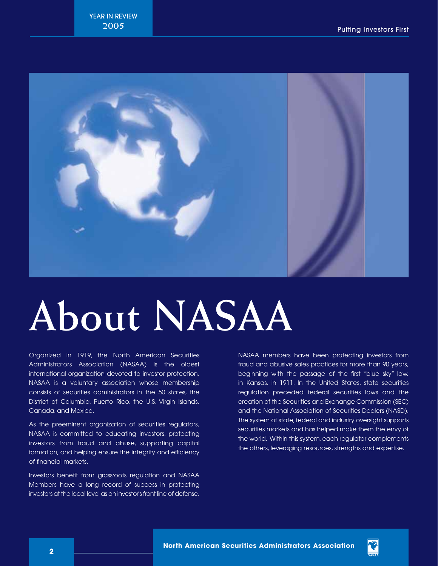

# **About NASAA**

Organized in 1919, the North American Securities Administrators Association (NASAA) is the oldest international organization devoted to investor protection. NASAA is a voluntary association whose membership consists of securities administrators in the 50 states, the District of Columbia, Puerto Rico, the U.S. Virgin Islands, Canada, and Mexico.

As the preeminent organization of securities regulators, NASAA is committed to educating investors, protecting investors from fraud and abuse, supporting capital formation, and helping ensure the integrity and efficiency of financial markets.

Investors benefit from grassroots regulation and NASAA Members have a long record of success in protecting investors at the local level as an investor's front line of defense. NASAA members have been protecting investors from fraud and abusive sales practices for more than 90 years, beginning with the passage of the first "blue sky" law, in Kansas, in 1911. In the United States, state securities regulation preceded federal securities laws and the creation of the Securities and Exchange Commission (SEC) and the National Association of Securities Dealers (NASD). The system of state, federal and industry oversight supports securities markets and has helped make them the envy of the world. Within this system, each regulator complements the others, leveraging resources, strengths and expertise.

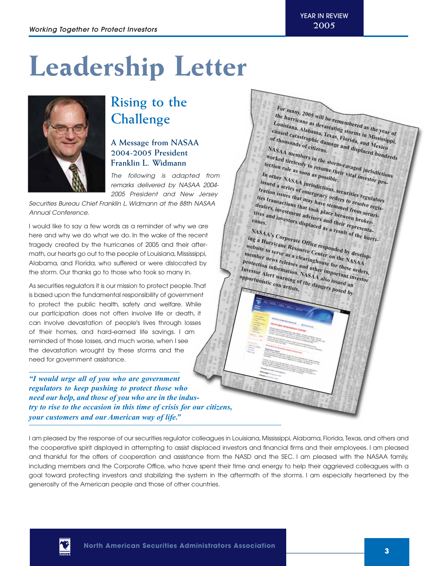For many, 2005 will be remembered as the year of<br>Louisiana, Alabama, Texas, Florida, and Mississippi,<br>of thousands of the year of<br>thousands of the damage and displaced **Alabamage and displaced the hurricane as devastating storms in Mississippi, Louisiana, Alabama, Texas, Florida, and Mexico** caused catastrophic damage and displaced hundreds<br>of thousands of citizens.<br>ASAA members in the same and displaced hundreds<br>rked *x*: anthers in the same and displaced hundreds

**NASAA members in the storm-ravaged jurisdictions worked tirelessly to resume their vital investor pro-**

**In other NASAA jurisdictions, securities regulators issued a series of emergency orders to resolve registration issues that may have stemmed from securi-**<br>
dealers, investment advisers and their more curri-<br>
tives and investment advisers and their more broker-<br>
canes **ties transactions that took place between broker**dealers, **investment** advisers and their representatives and investment advisers and their representa-<br>
<sup>2</sup> and investors displaced as a result of the hurri-<br> **E a L<sup>NASAA's Corporate Candidate** Canadian and the hurri-</sup>

**NASAA's Corporate Office responded by developing a Hurricane Resource Center on the NASAA**

*website to serve as a clearinghouse for these orders*,<br>protection information. NASAA also issued an opportunistic containing of the dangers possible an **member news releases and other important investor protection information. NASAA also issued an** Investor Alert warning of the dangers posed by

**of thousands of citizens.**

**tection role as soon as possible.**

**canes.**

## **Leadership Letter**



## **Rising to the Challenge**

## **A Message from NASAA 2004-2005 President Franklin L. Widmann**

The following is adapted from remarks delivered by NASAA 2004- 2005 President and New Jersey

Securities Bureau Chief Franklin L. Widmann at the 88th NASAA Annual Conference.

I would like to say a few words as a reminder of why we are here and why we do what we do. In the wake of the recent tragedy created by the hurricanes of 2005 and their aftermath, our hearts go out to the people of Louisiana, Mississippi, Alabama, and Florida, who suffered or were dislocated by the storm. Our thanks go to those who took so many in.

As securities regulators it is our mission to protect people.That is based upon the fundamental responsibility of government to protect the public health, safety and welfare. While our participation does not often involve life or death, it can involve devastation of people's lives through losses of their homes, and hard-earned life savings. I am reminded of those losses, and much worse, when I see the devastation wrought by these storms and the need for government assistance.

*"I would urge all of you who are government regulators to keep pushing to protect those who need our help, and those of you who are in the industry to rise to the occasion in this time of crisis for our citizens, your customers and our American way of life."*

I am pleased by the response of our securities regulator colleagues in Louisiana, Mississippi, Alabama, Florida, Texas, and others and the cooperative spirit displayed in attempting to assist displaced investors and financial firms and their employees. I am pleased and thankful for the offers of cooperation and assistance from the NASD and the SEC. I am pleased with the NASAA family, including members and the Corporate Office, who have spent their time and energy to help their aggrieved colleagues with a goal toward protecting investors and stabilizing the system in the aftermath of the storms. I am especially heartened by the generosity of the American people and those of other countries.

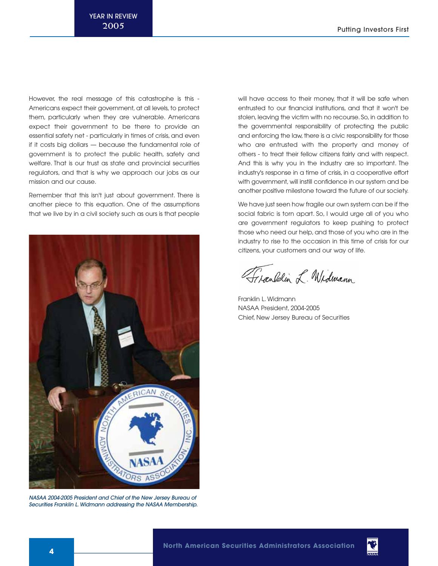However, the real message of this catastrophe is this - Americans expect their government, at all levels, to protect them, particularly when they are vulnerable. Americans expect their government to be there to provide an essential safety net - particularly in times of crisis, and even if it costs big dollars — because the fundamental role of government is to protect the public health, safety and welfare. That is our trust as state and provincial securities regulators, and that is why we approach our jobs as our mission and our cause.

Remember that this isn't just about government. There is another piece to this equation. One of the assumptions that we live by in a civil society such as ours is that people



NASAA 2004-2005 President and Chief of the New Jersey Bureau of Securities Franklin L. Widmann addressing the NASAA Membership.

will have access to their money, that it will be safe when entrusted to our financial institutions, and that it won't be stolen, leaving the victim with no recourse. So, in addition to the governmental responsibility of protecting the public and enforcing the law, there is a civic responsibility for those who are entrusted with the property and money of others - to treat their fellow citizens fairly and with respect. And this is why you in the industry are so important. The industry's response in a time of crisis, in a cooperative effort with government, will instill confidence in our system and be another positive milestone toward the future of our society.

We have just seen how fragile our own system can be if the social fabric is torn apart. So, I would urge all of you who are government regulators to keep pushing to protect those who need our help, and those of you who are in the industry to rise to the occasion in this time of crisis for our citizens, your customers and our way of life.

Franklin L. Widmann

Franklin L. Widmann NASAA President, 2004-2005 Chief, New Jersey Bureau of Securities

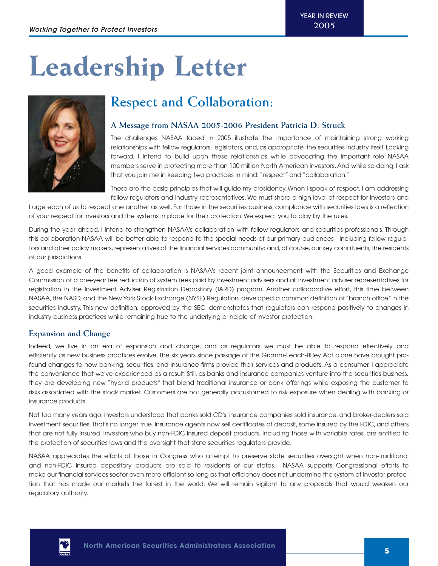## **Leadership Letter**



## **Respect and Collaboration:**

## **A Message from NASAA 2005-2006 President Patricia D. Struck**

The challenges NASAA faced in 2005 illustrate the importance of maintaining strong working relationships with fellow regulators, legislators, and, as appropriate, the securities industry itself. Looking forward, I intend to build upon these relationships while advocating the important role NASAA members serve in protecting more than 100 million North American investors. And while so doing, I ask that you join me in keeping two practices in mind: "respect" and "collaboration."

These are the basic principles that will guide my presidency. When I speak of respect, I am addressing fellow regulators and industry representatives. We must share a high level of respect for investors and

I urge each of us to respect one another as well. For those in the securities business, compliance with securities laws is a reflection of your respect for investors and the systems in place for their protection. We expect you to play by the rules.

During the year ahead, I intend to strengthen NASAA's collaboration with fellow regulators and securities professionals. Through this collaboration NASAA will be better able to respond to the special needs of our primary audiences - including fellow regulators and other policy makers, representatives of the financial services community; and, of course, our key constituents, the residents of our jurisdictions.

A good example of the benefits of collaboration is NASAA's recent joint announcement with the Securities and Exchange Commission of a one-year fee reduction of system fees paid by investment advisers and all investment adviser representatives for registration in the Investment Adviser Registration Depository (IARD) program. Another collaborative effort, this time between NASAA, the NASD, and the New York Stock Exchange (NYSE) Regulation, developed a common definition of "branch office" in the securities industry. This new definition, approved by the SEC, demonstrates that regulators can respond positively to changes in industry business practices while remaining true to the underlying principle of investor protection.

## **Expansion and Change**

Indeed, we live in an era of expansion and change, and as regulators we must be able to respond effectively and efficiently as new business practices evolve. The six years since passage of the Gramm-Leach-Bliley Act alone have brought profound changes to how banking, securities, and insurance firms provide their services and products. As a consumer, I appreciate the convenience that we've experienced as a result. Still, as banks and insurance companies venture into the securities business, they are developing new "hybrid products" that blend traditional insurance or bank offerings while exposing the customer to risks associated with the stock market. Customers are not generally accustomed to risk exposure when dealing with banking or insurance products.

Not too many years ago, investors understood that banks sold CD's, insurance companies sold insurance, and broker-dealers sold investment securities. That's no longer true. Insurance agents now sell certificates of deposit, some insured by the FDIC, and others that are not fully insured. Investors who buy non-FDIC insured deposit products, including those with variable rates, are entitled to the protection of securities laws and the oversight that state securities regulators provide.

NASAA appreciates the efforts of those in Congress who attempt to preserve state securities oversight when non-traditional and non-FDIC insured depository products are sold to residents of our states. NASAA supports Congressional efforts to make our financial services sector even more efficient so long as that efficiency does not undermine the system of investor protection that has made our markets the fairest in the world. We will remain vigilant to any proposals that would weaken our regulatory authority.

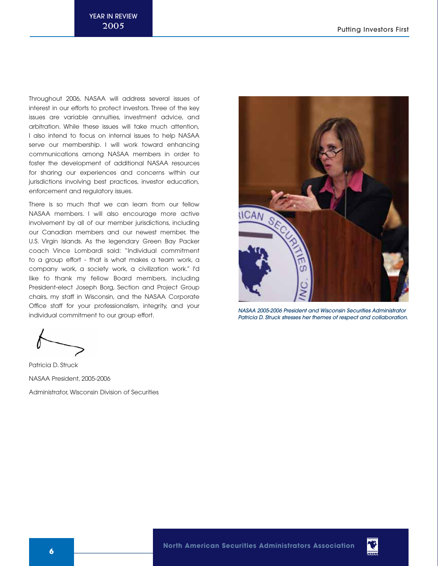Throughout 2006, NASAA will address several issues of interest in our efforts to protect investors. Three of the key issues are variable annuities, investment advice, and arbitration. While these issues will take much attention, I also intend to focus on internal issues to help NASAA serve our membership. I will work toward enhancing communications among NASAA members in order to foster the development of additional NASAA resources for sharing our experiences and concerns within our jurisdictions involving best practices, investor education, enforcement and regulatory issues.

There is so much that we can learn from our fellow NASAA members. I will also encourage more active involvement by all of our member jurisdictions, including our Canadian members and our newest member, the U.S. Virgin Islands. As the legendary Green Bay Packer coach Vince Lombardi said: "Individual commitment to a group effort - that is what makes a team work, a company work, a society work, a civilization work." I'd like to thank my fellow Board members, including President-elect Joseph Borg, Section and Project Group chairs, my staff in Wisconsin, and the NASAA Corporate Office staff for your professionalism, integrity, and your individual commitment to our group effort.

Patricia D. Struck NASAA President, 2005-2006 Administrator, Wisconsin Division of Securities



NASAA 2005-2006 President and Wisconsin Securities Administrator Patricia D. Struck stresses her themes of respect and collaboration.

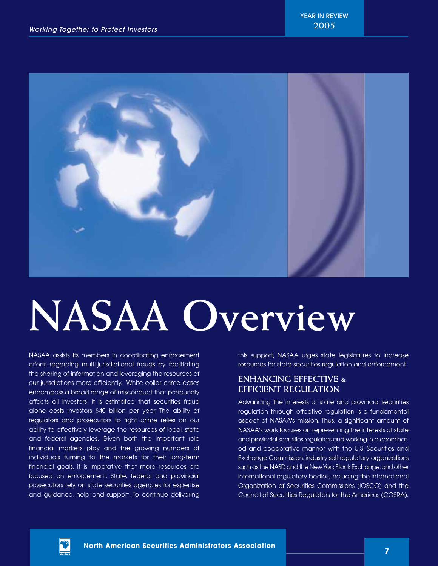

# **NASAA Overview**

NASAA assists its members in coordinating enforcement efforts regarding multi-jurisdictional frauds by facilitating the sharing of information and leveraging the resources of our jurisdictions more efficiently. White-collar crime cases encompass a broad range of misconduct that profoundly affects all investors. It is estimated that securities fraud alone costs investors \$40 billion per year. The ability of regulators and prosecutors to fight crime relies on our ability to effectively leverage the resources of local, state and federal agencies. Given both the important role financial markets play and the growing numbers of individuals turning to the markets for their long-term financial goals, it is imperative that more resources are focused on enforcement. State, federal and provincial prosecutors rely on state securities agencies for expertise and guidance, help and support. To continue delivering

this support, NASAA urges state legislatures to increase resources for state securities regulation and enforcement.

## **ENHANCING EFFECTIVE & EFFICIENT REGULATION**

Advancing the interests of state and provincial securities regulation through effective regulation is a fundamental aspect of NASAA's mission. Thus, a significant amount of NASAA's work focuses on representing the interests of state and provincial securities regulators and working in a coordinated and cooperative manner with the U.S. Securities and Exchange Commission, industry self-regulatory organizations such as the NASD and the New York Stock Exchange, and other international regulatory bodies, including the International Organization of Securities Commissions (IOSCO) and the Council of Securities Regulators for the Americas (COSRA).

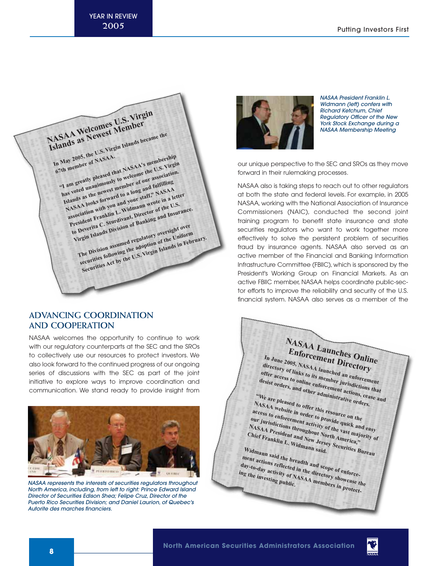

## **ADVANCING COORDINATION AND COOPERATION**

NASAA welcomes the opportunity to continue to work with our regulatory counterparts at the SEC and the SROs to collectively use our resources to protect investors. We also look forward to the continued progress of our ongoing series of discussions with the SEC as part of the joint initiative to explore ways to improve coordination and communication. We stand ready to provide insight from



NASAA represents the interests of securities regulators throughout North America, including, from left to right: Prince Edward Island Director of Securities Edison Shea; Felipe Cruz, Director of the Puerto Rico Securities Division; and Daniel Laurion, of Quebec's Autorite des marches financiers.



NASAA President Franklin L. Widmann (left) confers with Richard Ketchum, Chief Regulatory Officer of the New York Stock Exchange during a NASAA Membership Meeting

our unique perspective to the SEC and SROs as they move forward in their rulemaking processes.

NASAA also is taking steps to reach out to other regulators at both the state and federal levels. For example, in 2005 NASAA, working with the National Association of Insurance Commissioners (NAIC), conducted the second joint training program to benefit state insurance and state securities regulators who want to work together more effectively to solve the persistent problem of securities fraud by insurance agents. NASAA also served as an active member of the Financial and Banking Information Infrastructure Committee (FBIIC), which is sponsored by the President's Working Group on Financial Markets. As an active FBIIC member, NASAA helps coordinate public-sector efforts to improve the reliability and security of the U.S. financial system. NASAA also serves as a member of the

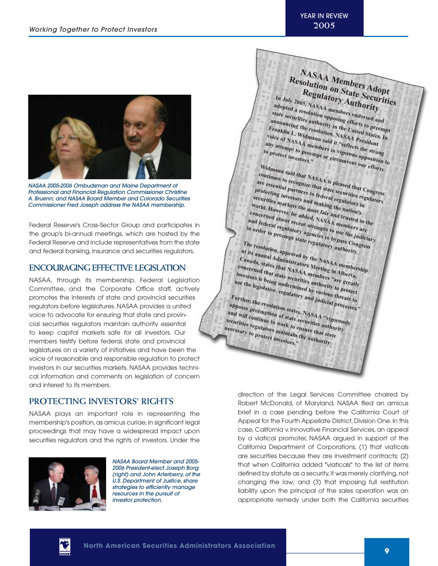**NASAA Members Adopt** Resolution on State Securities **Regulatory Authority In July 2005, NASAA members endorsed and** 



NASAA 2005-2006 Ombudsman and Maine Department of Professional and Financial Regulation Commissioner Christine A. Bruenn; and NASAA Board Member and Colorado Securities Commissioner Fred Joseph address the NASAA membership.

Federal Reserve's Cross-Sector Group and participates in the group's bi-annual meetings, which are hosted by the Federal Reserve and include representatives from the state and federal banking, insurance and securities regulators.

## **ENCOURAGING EFFECTIVE LEGISLATION**

NASAA, through its membership, Federal Legislation Committee, and the Corporate Office staff, actively promotes the interests of state and provincial securities regulators before legislatures. NASAA provides a united voice to advocate for ensuring that state and provincial securities regulators maintain authority essential to keep capital markets safe for all investors. Our members testify before federal, state and provincial legislatures on a variety of initiatives and have been the voice of reasonable and responsible regulation to protect investors in our securities markets. NASAA provides technical information and comments on legislation of concern and interest to its members.

## **PROTECTING INVESTORS' RIGHTS**

NASAA plays an important role in representing the membership's position, as amicus curiae, in significant legal proceedings that may have a widespread impact upon securities regulators and the rights of investors. Under the



NASAA Board Member and 2005- 2006 President-elect Joseph Borg (right) and John Arterberry, of the U.S. Department of Justice, share strategies to efficiently manage resources in the pursuit of investor protection.

**adopted a resolution opposing efforts to preempt state securities authority in the United States. In announcing the resolution, NASAA President**<br>*Pranklin L. Widmann said it "reflexible of NASAA***<br>Dice of NASAA meann said it "reflexible of NASAA Franklin L. <sup>W</sup>** *voice of NASAA mann said it "reflects the strong protects:*<br> *iny attempt to preemnt said it "reflects the strong*<br> *protect:* **voice of NASAA members in vigorous opposition to**<br>to protect investors, the or circumvent our effection to **any attempt to preembers in vigorous the strong**<br>**o** protect investors," pt or circumvent our efforts<br>idmann... **to protect investors."** Widmann said that NASAA is pleased that Congress<br>are essential partners to federal regulators in **continues to recognize that state securitiat Congress**<br> **are essential partners to federal regulators**<br> **protecting investors and making the securities regulators**<br> **artilies markets that making the diators in**<br>
and makin **protecting investors and making the nation's securities markets the most fair and trusted in the world. However, he added, NASAA members are concerned about recent attempts to use the judiciary and federal regulatory agencies to bypass Congress in order to preempt state regulatory authority. The resolution, approved by the NASAA membership at its annual Administrators Meeting in Alberta,**

**Canada, states that NASAA members "are greatly concerned that state securities authority to protect investors is being undermined by various threats to use the legislative, regulatory and judicial processes."**

**Further, the resolution states, NASAA "vigorously**<br>
and will continue to work a securities and vill continue to work a securities and the securities and the securities and securities and securities and securities and secu **opposes preem and will continue to work to ensure that state**  *pposes preemption of state securities authority* **securities regulators maintain the authority necessary to protect investors."**

> direction of the Legal Services Committee chaired by Robert McDonald, of Maryland, NASAA filed an amicus brief in a case pending before the California Court of Appeal for the Fourth Appellate District, Division One. In this case, California v. Innovative Financial Services, an appeal by a viatical promoter, NASAA argued in support of the California Department of Corporations, (1) that viaticals are securities because they are investment contracts; (2) that when California added "viaticals" to the list of items defined by statute as a security, it was merely clarifying, not changing the law; and (3) that imposing full restitution liability upon the principal of the sales operation was an appropriate remedy under both the California securities

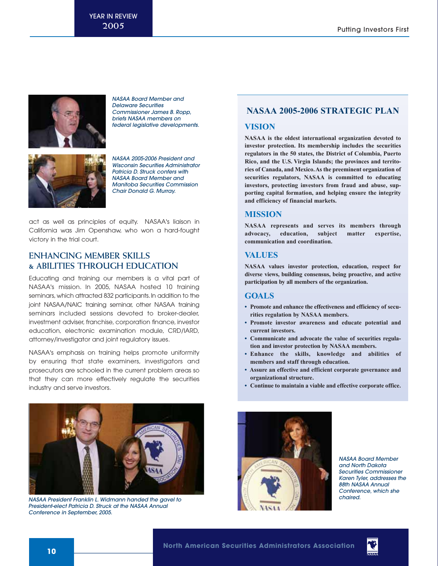

NASAA Board Member and Delaware Securities Commissioner James B. Ropp, briefs NASAA members on federal legislative developments.



NASAA 2005-2006 President and Wisconsin Securities Administrator Patricia D. Struck confers with NASAA Board Member and Manitoba Securities Commission Chair Donald G. Murray.

act as well as principles of equity. NASAA's liaison in California was Jim Openshaw, who won a hard-fought victory in the trial court.

## **ENHANCING MEMBER SKILLS & ABILITIES THROUGH EDUCATION**

Educating and training our members is a vital part of NASAA's mission. In 2005, NASAA hosted 10 training seminars, which attracted 832 participants. In addition to the joint NASAA/NAIC training seminar, other NASAA training seminars included sessions devoted to broker-dealer, investment adviser, franchise, corporation finance, investor education, electronic examination module, CRD/IARD, attorney/investigator and joint regulatory issues.

NASAA's emphasis on training helps promote uniformity by ensuring that state examiners, investigators and prosecutors are schooled in the current problem areas so that they can more effectively regulate the securities industry and serve investors.



NASAA President Franklin L. Widmann handed the gavel to President-elect Patricia D. Struck at the NASAA Annual Conference in September, 2005.

## **NASAA 2005-2006 STRATEGIC PLAN**

## **VISION**

**NASAA is the oldest international organization devoted to investor protection. Its membership includes the securities regulators in the 50 states, the District of Columbia, Puerto Rico, and the U.S. Virgin Islands; the provinces and territories of Canada, and Mexico.As the preeminent organization of securities regulators, NASAA is committed to educating investors, protecting investors from fraud and abuse, supporting capital formation, and helping ensure the integrity and efficiency of financial markets.**

## **MISSION**

**NASAA represents and serves its members through advocacy, education, subject matter expertise, communication and coordination.**

## **VALUES**

**NASAA values investor protection, education, respect for diverse views, building consensus, being proactive, and active participation by all members of the organization.**

## **GOALS**

- **Promote and enhance the effectiveness and efficiency of securities regulation by NASAA members.**
- **Promote investor awareness and educate potential and current investors.**
- **Communicate and advocate the value of securities regulation and investor protection by NASAA members.**
- **Enhance the skills, knowledge and abilities of members and staff through education.**
- **Assure an effective and efficient corporate governance and organizational structure.**
- **Continue to maintain a viable and effective corporate office.**



NASAA Board Member and North Dakota Securities Commissioner Karen Tyler, addresses the 88th NASAA Annual Conference, which she chaired.

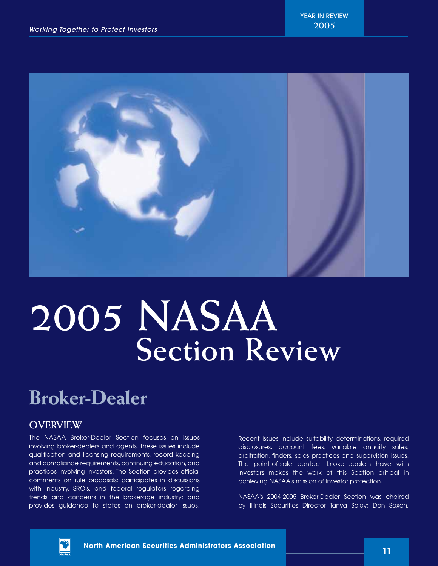

## **2005 NASAA Section Review**

## **Broker-Dealer**

## **OVERVIEW**

The NASAA Broker-Dealer Section focuses on issues involving broker-dealers and agents. These issues include qualification and licensing requirements, record keeping and compliance requirements, continuing education, and practices involving investors. The Section provides official comments on rule proposals; participates in discussions with industry, SRO's, and federal regulators regarding trends and concerns in the brokerage industry; and provides guidance to states on broker-dealer issues. Recent issues include suitability determinations, required disclosures, account fees, variable annuity sales, arbitration, finders, sales practices and supervision issues. The point-of-sale contact broker-dealers have with investors makes the work of this Section critical in achieving NASAA's mission of investor protection.

NASAA's 2004-2005 Broker-Dealer Section was chaired by Illinois Securities Director Tanya Solov; Don Saxon,



**<sup>11</sup> North American Securities Administrators Association**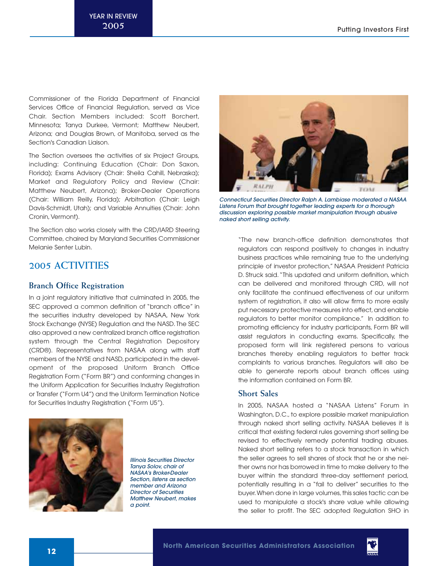Commissioner of the Florida Department of Financial Services Office of Financial Regulation, served as Vice Chair. Section Members included: Scott Borchert, Minnesota; Tanya Durkee, Vermont; Matthew Neubert, Arizona; and Douglas Brown, of Manitoba, served as the Section's Canadian Liaison.

The Section oversees the activities of six Project Groups, including: Continuing Education (Chair: Don Saxon, Florida); Exams Advisory (Chair: Sheila Cahill, Nebraska); Market and Regulatory Policy and Review (Chair: Matthew Neubert, Arizona); Broker-Dealer Operations (Chair: William Reilly, Florida); Arbitration (Chair: Leigh Davis-Schmidt, Utah); and Variable Annuities (Chair: John Cronin, Vermont).

The Section also works closely with the CRD/IARD Steering Committee, chaired by Maryland Securities Commissioner Melanie Senter Lubin.

## **2005 ACTIVITIES**

## **Branch Office Registration**

In a joint regulatory initiative that culminated in 2005, the SEC approved a common definition of "branch office" in the securities industry developed by NASAA, New York Stock Exchange (NYSE) Regulation and the NASD. The SEC also approved a new centralized branch office registration system through the Central Registration Depository (CRD®). Representatives from NASAA along with staff members of the NYSE and NASD, participated in the development of the proposed Uniform Branch Office Registration Form ("Form BR") and conforming changes in the Uniform Application for Securities Industry Registration or Transfer ("Form U4") and the Uniform Termination Notice for Securities Industry Registration ("Form U5").



Illinois Securities Director Tanya Solov, chair of NASAA's Broker-Dealer Section, listens as section member and Arizona Director of Securities Matthew Neubert, makes a point.



Connecticut Securities Director Ralph A. Lambiase moderated a NASAA Listens Forum that brought together leading experts for a thorough discussion exploring possible market manipulation through abusive naked short selling activity.

"The new branch-office definition demonstrates that regulators can respond positively to changes in industry business practices while remaining true to the underlying principle of investor protection," NASAA President Patricia D. Struck said."This updated and uniform definition, which can be delivered and monitored through CRD, will not only facilitate the continued effectiveness of our uniform system of registration, it also will allow firms to more easily put necessary protective measures into effect, and enable regulators to better monitor compliance." In addition to promoting efficiency for industry participants, Form BR will assist regulators in conducting exams. Specifically, the proposed form will link registered persons to various branches thereby enabling regulators to better track complaints to various branches. Regulators will also be able to generate reports about branch offices using the information contained on Form BR.

## **Short Sales**

In 2005, NASAA hosted a "NASAA Listens" Forum in Washington, D.C., to explore possible market manipulation through naked short selling activity. NASAA believes it is critical that existing federal rules governing short selling be revised to effectively remedy potential trading abuses. Naked short selling refers to a stock transaction in which the seller agrees to sell shares of stock that he or she neither owns nor has borrowed in time to make delivery to the buyer within the standard three-day settlement period, potentially resulting in a "fail to deliver" securities to the buyer. When done in large volumes, this sales tactic can be used to manipulate a stock's share value while allowing the seller to profit. The SEC adopted Regulation SHO in

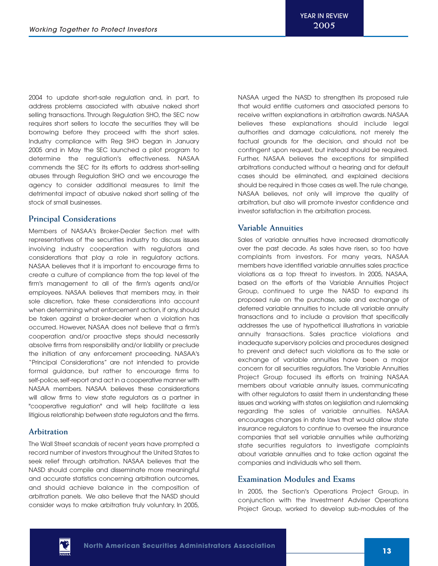2004 to update short-sale regulation and, in part, to address problems associated with abusive naked short selling transactions. Through Regulation SHO, the SEC now requires short sellers to locate the securities they will be borrowing before they proceed with the short sales. Industry compliance with Reg SHO began in January 2005 and in May the SEC launched a pilot program to determine the regulation's effectiveness. NASAA commends the SEC for its efforts to address short-selling abuses through Regulation SHO and we encourage the agency to consider additional measures to limit the detrimental impact of abusive naked short selling of the stock of small businesses.

## **Principal Considerations**

Members of NASAA's Broker-Dealer Section met with representatives of the securities industry to discuss issues involving industry cooperation with regulators and considerations that play a role in regulatory actions. NASAA believes that it is important to encourage firms to create a culture of compliance from the top level of the firm's management to all of the firm's agents and/or employees. NASAA believes that members may, in their sole discretion, take these considerations into account when determining what enforcement action, if any, should be taken against a broker-dealer when a violation has occurred. However, NASAA does not believe that a firm's cooperation and/or proactive steps should necessarily absolve firms from responsibility and/or liability or preclude the initiation of any enforcement proceeding. NASAA's "Principal Considerations" are not intended to provide formal guidance, but rather to encourage firms to self-police, self-report and act in a cooperative manner with NASAA members. NASAA believes these considerations will allow firms to view state regulators as a partner in "cooperative regulation" and will help facilitate a less litigious relationship between state regulators and the firms.

## **Arbitration**

The Wall Street scandals of recent years have prompted a record number of investors throughout the United States to seek relief through arbitration. NASAA believes that the NASD should compile and disseminate more meaningful and accurate statistics concerning arbitration outcomes, and should achieve balance in the composition of arbitration panels. We also believe that the NASD should consider ways to make arbitration truly voluntary. In 2005,

NASAA urged the NASD to strengthen its proposed rule that would entitle customers and associated persons to receive written explanations in arbitration awards. NASAA believes these explanations should include legal authorities and damage calculations, not merely the factual grounds for the decision, and should not be contingent upon request, but instead should be required. Further, NASAA believes the exceptions for simplified arbitrations conducted without a hearing and for default cases should be eliminated, and explained decisions should be required in those cases as well.The rule change, NASAA believes, not only will improve the quality of arbitration, but also will promote investor confidence and investor satisfaction in the arbitration process.

## **Variable Annuities**

Sales of variable annuities have increased dramatically over the past decade. As sales have risen, so too have complaints from investors. For many years, NASAA members have identified variable annuities sales practice violations as a top threat to investors. In 2005, NASAA, based on the efforts of the Variable Annuities Project Group, continued to urge the NASD to expand its proposed rule on the purchase, sale and exchange of deferred variable annuities to include all variable annuity transactions and to include a provision that specifically addresses the use of hypothetical illustrations in variable annuity transactions. Sales practice violations and inadequate supervisory policies and procedures designed to prevent and detect such violations as to the sale or exchange of variable annuities have been a major concern for all securities regulators. The Variable Annuities Project Group focused its efforts on training NASAA members about variable annuity issues, communicating with other regulators to assist them in understanding these issues and working with states on legislation and rulemaking regarding the sales of variable annuities. NASAA encourages changes in state laws that would allow state insurance regulators to continue to oversee the insurance companies that sell variable annuities while authorizing state securities regulators to investigate complaints about variable annuities and to take action against the companies and individuals who sell them.

## **Examination Modules and Exams**

In 2005, the Section's Operations Project Group, in conjunction with the Investment Adviser Operations Project Group, worked to develop sub-modules of the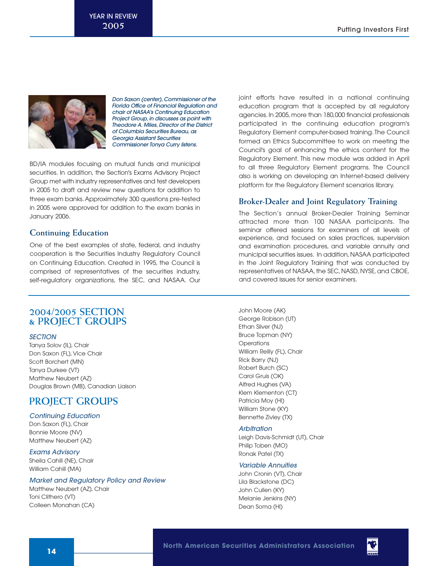

Don Saxon (center), Commissioner of the Florida Office of Financial Regulation and chair of NASAA's Continuing Education Project Group, in discusses as point with Theodore A. Miles, Director of the District of Columbia Securities Bureau, as Georgia Assistant Securities Commissioner Tonya Curry listens.

BD/IA modules focusing on mutual funds and municipal securities. In addition, the Section's Exams Advisory Project Group met with industry representatives and test developers in 2005 to draft and review new questions for addition to three exam banks.Approximately 300 questions pre-tested in 2005 were approved for addition to the exam banks in January 2006.

## **Continuing Education**

One of the best examples of state, federal, and industry cooperation is the Securities Industry Regulatory Council on Continuing Education. Created in 1995, the Council is comprised of representatives of the securities industry, self-regulatory organizations, the SEC, and NASAA. Our

## **2004/2005 SECTION & PROJECT GROUPS**

## **SECTION**

Tanya Solov (IL), Chair Don Saxon (FL), Vice Chair Scott Borchert (MN) Tanya Durkee (VT) Matthew Neubert (AZ) Douglas Brown (MB), Canadian Liaison

## **PROJECT GROUPS**

## Continuing Education

Don Saxon (FL), Chair Bonnie Moore (NV) Matthew Neubert (AZ)

## Exams Advisory

Sheila Cahill (NE), Chair William Cahill (MA)

## Market and Regulatory Policy and Review

Matthew Neubert (AZ), Chair Toni Clithero (VT) Colleen Monahan (CA)

joint efforts have resulted in a national continuing education program that is accepted by all regulatory agencies. In 2005, more than 180,000 financial professionals participated in the continuing education program's Regulatory Element computer-based training. The Council formed an Ethics Subcommittee to work on meeting the Council's goal of enhancing the ethics content for the Regulatory Element. This new module was added in April to all three Regulatory Element programs. The Council also is working on developing an Internet-based delivery platform for the Regulatory Element scenarios library.

## **Broker-Dealer and Joint Regulatory Training**

The Section's annual Broker-Dealer Training Seminar attracted more than 100 NASAA participants. The seminar offered sessions for examiners of all levels of experience, and focused on sales practices, supervision and examination procedures, and variable annuity and municipal securities issues. In addition, NASAA participated in the Joint Regulatory Training that was conducted by representatives of NASAA, the SEC, NASD, NYSE, and CBOE, and covered issues for senior examiners.

John Moore (AK) George Robison (UT) Ethan Silver (NJ) Bruce Topman (NY) **Operations** William Reilly (FL), Chair Rick Barry (NJ) Robert Burch (SC) Carol Gruis (OK) Alfred Hughes (VA) Klem Klementon (CT) Patricia Moy (HI) William Stone (KY) Bennette Zivley (TX)

#### **Arbitration**

Leigh Davis-Schmidt (UT), Chair Philip Toben (MO) Ronak Patel (TX)

## Variable Annuities

John Cronin (VT), Chair Lila Blackstone (DC) John Cullen (KY) Melanie Jenkins (NY) Dean Soma (HI)

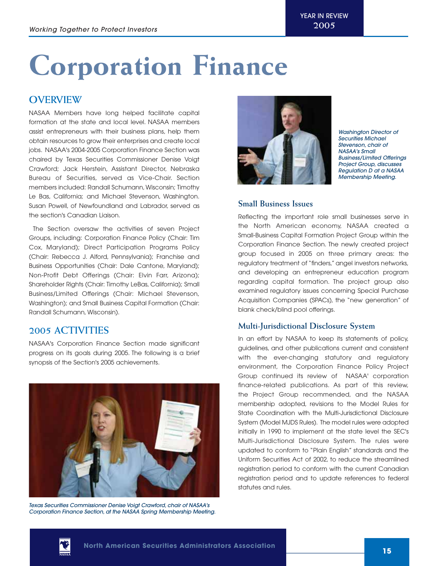## **Corporation Finance**

## **OVERVIEW**

NASAA Members have long helped facilitate capital formation at the state and local level. NASAA members assist entrepreneurs with their business plans, help them obtain resources to grow their enterprises and create local jobs. NASAA's 2004-2005 Corporation Finance Section was chaired by Texas Securities Commissioner Denise Voigt Crawford; Jack Herstein, Assistant Director, Nebraska Bureau of Securities, served as Vice-Chair. Section members included: Randall Schumann,Wisconsin; Timothy Le Bas, California; and Michael Stevenson, Washington. Susan Powell, of Newfoundland and Labrador, served as the section's Canadian Liaison.

The Section oversaw the activities of seven Project Groups, including: Corporation Finance Policy (Chair: Tim Cox, Maryland); Direct Participation Programs Policy (Chair: Rebecca J. Alford, Pennsylvania); Franchise and Business Opportunities (Chair: Dale Cantone, Maryland); Non-Profit Debt Offerings (Chair: Elvin Farr, Arizona); Shareholder Rights (Chair: Timothy LeBas, California); Small Business/Limited Offerings (Chair: Michael Stevenson, Washington); and Small Business Capital Formation (Chair: Randall Schumann, Wisconsin).

## **2005 ACTIVITIES**

NASAA's Corporation Finance Section made significant progress on its goals during 2005. The following is a brief synopsis of the Section's 2005 achievements.



Texas Securities Commissioner Denise Voigt Crawford, chair of NASAA's Corporation Finance Section, at the NASAA Spring Membership Meeting.



Washington Director of Securities Michael Stevenson, chair of NASAA's Small Business/Limited Offerings Project Group, discusses Regulation D at a NASAA Membership Meeting.

## **Small Business Issues**

Reflecting the important role small businesses serve in the North American economy, NASAA created a Small-Business Capital Formation Project Group within the Corporation Finance Section. The newly created project group focused in 2005 on three primary areas: the regulatory treatment of "finders," angel investors networks, and developing an entrepreneur education program regarding capital formation. The project group also examined regulatory issues concerning Special Purchase Acquisition Companies (SPACs), the "new generation" of blank check/blind pool offerings.

## **Multi-Jurisdictional Disclosure System**

In an effort by NASAA to keep its statements of policy, guidelines, and other publications current and consistent with the ever-changing statutory and regulatory environment, the Corporation Finance Policy Project Group continued its review of NASAA' corporation finance-related publications. As part of this review, the Project Group recommended, and the NASAA membership adopted, revisions to the Model Rules for State Coordination with the Multi-Jurisdictional Disclosure System (Model MJDS Rules). The model rules were adopted initially in 1990 to implement at the state level the SEC's Multi-Jurisdictional Disclosure System. The rules were updated to conform to "Plain English" standards and the Uniform Securities Act of 2002, to reduce the streamlined registration period to conform with the current Canadian registration period and to update references to federal statutes and rules.

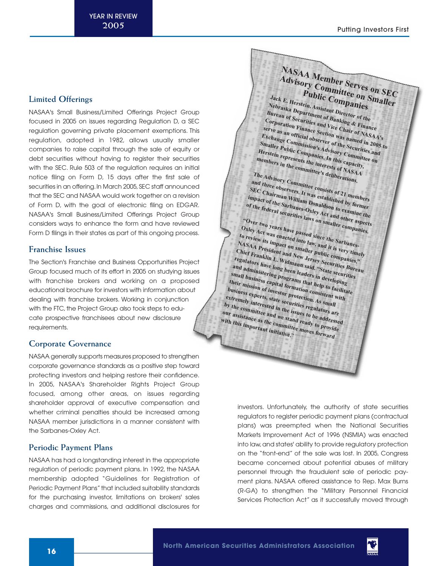## **Limited Offerings**

NASAA's Small Business/Limited Offerings Project Group focused in 2005 on issues regarding Regulation D, a SEC regulation governing private placement exemptions. This regulation, adopted in 1982, allows usually smaller companies to raise capital through the sale of equity or debt securities without having to register their securities with the SEC. Rule 503 of the regulation requires an initial notice filing on Form D, 15 days after the first sale of securities in an offering. In March 2005, SEC staff announced that the SEC and NASAA would work together on a revision of Form D, with the goal of electronic filing on EDGAR. NASAA's Small Business/Limited Offerings Project Group considers ways to enhance the form and have reviewed Form D filings in their states as part of this ongoing process.

## **Franchise Issues**

The Section's Franchise and Business Opportunities Project Group focused much of its effort in 2005 on studying issues with franchise brokers and working on a proposed educational brochure for investors with information about dealing with franchise brokers. Working in conjunction with the FTC, the Project Group also took steps to educate prospective franchisees about new disclosure requirements.

## **Corporate Governance**

NASAA generally supports measures proposed to strengthen corporate governance standards as a positive step toward protecting investors and helping restore their confidence. In 2005, NASAA's Shareholder Rights Project Group focused, among other areas, on issues regarding shareholder approval of executive compensation and whether criminal penalties should be increased among NASAA member jurisdictions in a manner consistent with the Sarbanes-Oxley Act.

## **Periodic Payment Plans**

NASAA has had a longstanding interest in the appropriate regulation of periodic payment plans. In 1992, the NASAA membership adopted "Guidelines for Registration of Periodic Payment Plans" that included suitability standards for the purchasing investor, limitations on brokers' sales charges and commissions, and additional disclosures for

**NASAA Member Serves on SEC<br>Advisory Committee on SEC<br>Public Companies** *Advisory Committee on SEC*<br> *Public Companies*<br>
<sup>*Public Companies*<br>
<sup>*Raka Resign, Assistant*</sup></sup>

**Jack E. Herstein, Assistant Director of the Nebraska Department of Banking & Finance Bureau of Securities and Vice Chair of NASAA's Corporation Finance Section was named in 2005 to** serve as an official observer of the Securities and **Exchange Commission's Advisory Committee on Smaller Public Companies. In this capacity, Herstein represents the interests of NASAA** 

**members in the committee's deliberations. The Advisory Committee consists of 21 members**

**and three observers. It was established by former SEC Chairman William Donaldson to examine the impact of the Sarbanes-Oxley Act and other aspects**

**of the federal securities laws on smaller companies. "Over two years have passed since the Sarbanes-**

Oxley Act was enacted into law, and it is very timely **to review its impact on smaller public companies," NASAA President and New Jersey Securities Bureau Chief Franklin L. Widmann said. "State securities regulators have long been leaders in developing and administering programs that help to facilitate small business capital formation consistent with their mission of investor protection. As small business experts, state securities regulators are extremely interested in the issues to be addressed by the com our assistance as the com** mittee and we stand ready to provide<br>**Ce as the committee move of provide**<br>**Portant inity**<br>**Portant inity with this important initiative." Manufactures with this important initiative."** *moves forward* 

> investors. Unfortunately, the authority of state securities regulators to register periodic payment plans (contractual plans) was preempted when the National Securities Markets Improvement Act of 1996 (NSMIA) was enacted into law, and states' ability to provide regulatory protection on the "front-end" of the sale was lost. In 2005, Congress became concerned about potential abuses of military personnel through the fraudulent sale of periodic payment plans. NASAA offered assistance to Rep. Max Burns (R-GA) to strengthen the "Military Personnel Financial Services Protection Act" as it successfully moved through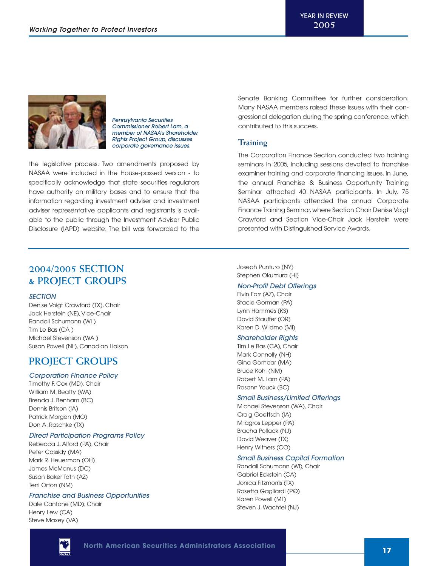

Pennsylvania Securities Commissioner Robert Lam, <sup>a</sup> member of NASAA's Shareholder Rights Project Group, discusses corporate governance issues.

the legislative process. Two amendments proposed by NASAA were included in the House-passed version - to specifically acknowledge that state securities regulators have authority on military bases and to ensure that the information regarding investment adviser and investment adviser representative applicants and registrants is available to the public through the Investment Adviser Public Disclosure (IAPD) website. The bill was forwarded to the Senate Banking Committee for further consideration. Many NASAA members raised these issues with their congressional delegation during the spring conference, which contributed to this success.

## **Training**

The Corporation Finance Section conducted two training seminars in 2005, including sessions devoted to franchise examiner training and corporate financing issues. In June, the annual Franchise & Business Opportunity Training Seminar attracted 40 NASAA participants. In July, 75 NASAA participants attended the annual Corporate Finance Training Seminar,where Section Chair Denise Voigt Crawford and Section Vice-Chair Jack Herstein were presented with Distinguished Service Awards.

## **2004/2005 SECTION & PROJECT GROUPS**

## **SECTION**

Denise Voigt Crawford (TX), Chair Jack Herstein (NE), Vice-Chair Randall Schumann (WI ) Tim Le Bas (CA ) Michael Stevenson (WA ) Susan Powell (NL), Canadian Liaison

## **PROJECT GROUPS**

## Corporation Finance Policy

Timothy F. Cox (MD), Chair William M. Beatty (WA) Brenda J. Benham (BC) Dennis Britson (IA) Patrick Morgan (MO) Don A. Raschke (TX)

## Direct Participation Programs Policy

Rebecca J. Alford (PA), Chair Peter Cassidy (MA) Mark R. Heuerman (OH) James McManus (DC) Susan Baker Toth (AZ) Terri Orton (NM)

## Franchise and Business Opportunities

Dale Cantone (MD), Chair Henry Lew (CA) Steve Maxey (VA)

Joseph Punturo (NY) Stephen Okumura (HI)

#### Non-Profit Debt Offerings

Elvin Farr (AZ), Chair Stacie Gorman (PA) Lynn Hammes (KS) David Stauffer (OR) Karen D. Wildmo (MI)

## Shareholder Rights

Tim Le Bas (CA), Chair Mark Connolly (NH) Gina Gombar (MA) Bruce Kohl (NM) Robert M. Lam (PA) Rosann Youck (BC)

#### Small Business/Limited Offerings

Michael Stevenson (WA), Chair Craig Goettsch (IA) Milagros Lepper (PA) Bracha Pollack (NJ) David Weaver (TX) Henry Withers (CO)

## Small Business Capital Formation

Randall Schumann (WI), Chair Gabriel Eckstein (CA) Jonica Fitzmorris (TX) Rosetta Gagliardi (PQ) Karen Powell (MT) Steven J. Wachtel (NJ)

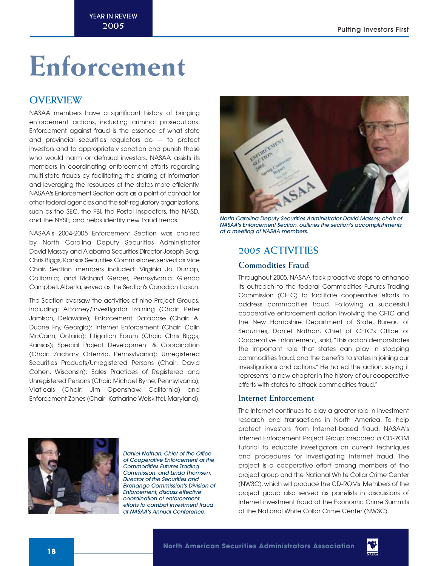## **Enforcement**

## **OVERVIEW**

NASAA members have a significant history of bringing enforcement actions, including criminal prosecutions. Enforcement against fraud is the essence of what state and provincial securities regulators do  $-$  to protect investors and to appropriately sanction and punish those who would harm or defraud investors. NASAA assists its members in coordinating enforcement efforts regarding multi-state frauds by facilitating the sharing of information and leveraging the resources of the states more efficiently. NASAA's Enforcement Section acts as a point of contact for other federal agencies and the self-regulatory organizations, such as the SEC, the FBI, the Postal Inspectors, the NASD, and the NYSE; and helps identify new fraud trends.

NASAA's 2004-2005 Enforcement Section was chaired by North Carolina Deputy Securities Administrator David Massey and Alabama Securities Director Joseph Borg; Chris Biggs, Kansas Securities Commissioner, served as Vice Chair. Section members included: Virginia Jo Dunlap, California; and Richard Gerber, Pennsylvania. Glenda Campbell, Alberta, served as the Section's Canadian Liaison.

The Section oversaw the activities of nine Project Groups, including: Attorney/Investigator Training (Chair: Peter Jamison, Delaware); Enforcement Database (Chair: A. Duane Fry, Georgia); Internet Enforcement (Chair: Colin McCann, Ontario); Litigation Forum (Chair: Chris Biggs, Kansas); Special Project Development & Coordination (Chair: Zachary Ortenzio, Pennsylvania); Unregistered Securities Products/Unregistered Persons (Chair: David Cohen, Wisconsin); Sales Practices of Registered and Unregistered Persons (Chair: Michael Byrne, Pennsylvania); Viaticals (Chair: Jim Openshaw, California) and Enforcement Zones (Chair: Katharine Weiskittel, Maryland).



North Carolina Deputy Securities Administrator David Massey, chair of NASAA's Enforcement Section, outlines the section's accomplishments at a meeting of NASAA members.

## **2005 ACTIVITIES**

## **Commodities Fraud**

Throughout 2005, NASAA took proactive steps to enhance its outreach to the federal Commodities Futures Trading Commission (CFTC) to facilitate cooperative efforts to address commodities fraud. Following a successful cooperative enforcement action involving the CFTC and the New Hampshire Department of State, Bureau of Securities, Daniel Nathan, Chief of CFTC's Office of Cooperative Enforcement, said,"This action demonstrates the important role that states can play in stopping commodities fraud, and the benefits to states in joining our investigations and actions." He hailed the action, saying it represents "a new chapter in the history of our cooperative efforts with states to attack commodities fraud."

## **Internet Enforcement**

The Internet continues to play a greater role in investment research and transactions in North America. To help protect investors from Internet-based fraud, NASAA's Internet Enforcement Project Group prepared a CD-ROM tutorial to educate investigators on current techniques and procedures for investigating Internet fraud. The project is a cooperative effort among members of the project group and the National White Collar Crime Center (NW3C), which will produce the CD-ROMs. Members of the project group also served as panelists in discussions of Internet investment fraud at the Economic Crime Summits of the National White Collar Crime Center (NW3C).



Daniel Nathan, Chief of the Office of Cooperative Enforcement at the Commodities Futures Trading Commission, and Linda Thomsen, Director of the Securities and Exchange Commission's Division of Enforcement, discuss effective coordination of enforcement efforts to combat investment fraud at NASAA's Annual Conference.

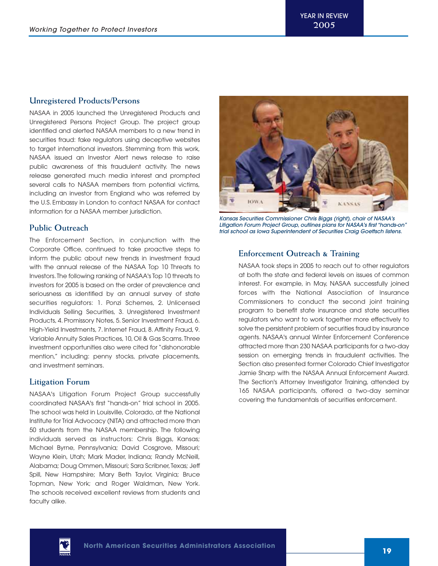## **Unregistered Products/Persons**

NASAA in 2005 launched the Unregistered Products and Unregistered Persons Project Group. The project group identified and alerted NASAA members to a new trend in securities fraud: fake regulators using deceptive websites to target international investors. Stemming from this work, NASAA issued an Investor Alert news release to raise public awareness of this fraudulent activity. The news release generated much media interest and prompted several calls to NASAA members from potential victims, including an investor from England who was referred by the U.S. Embassy in London to contact NASAA for contact information for a NASAA member jurisdiction.

## **Public Outreach**

The Enforcement Section, in conjunction with the Corporate Office, continued to take proactive steps to inform the public about new trends in investment fraud with the annual release of the NASAA Top 10 Threats to Investors.The following ranking of NASAA's Top 10 threats to investors for 2005 is based on the order of prevalence and seriousness as identified by an annual survey of state securities regulators: 1. Ponzi Schemes, 2. Unlicensed Individuals Selling Securities, 3. Unregistered Investment Products, 4. Promissory Notes, 5. Senior Investment Fraud, 6. High-Yield Investments, 7. Internet Fraud, 8. Affinity Fraud, 9. Variable Annuity Sales Practices,10,Oil & Gas Scams.Three investment opportunities also were cited for "dishonorable mention," including: penny stocks, private placements, and investment seminars.

## **Litigation Forum**

NASAA's Litigation Forum Project Group successfully coordinated NASAA's first "hands-on" trial school in 2005. The school was held in Louisville, Colorado, at the National Institute for Trial Advocacy (NITA) and attracted more than 50 students from the NASAA membership. The following individuals served as instructors: Chris Biggs, Kansas; Michael Byrne, Pennsylvania; David Cosgrove, Missouri; Wayne Klein, Utah; Mark Mader, Indiana; Randy McNeill, Alabama; Doug Ommen, Missouri; Sara Scribner, Texas; Jeff Spill, New Hampshire; Mary Beth Taylor, Virginia; Bruce Topman, New York; and Roger Waldman, New York. The schools received excellent reviews from students and faculty alike.



Kansas Securities Commissioner Chris Biggs (right), chair of NASAA's Litigation Forum Project Group, outlines plans for NASAA's first "hands-on" trial school as Iowa Superintendent of Securities Craig Goettsch listens.

## **Enforcement Outreach & Training**

NASAA took steps in 2005 to reach out to other regulators at both the state and federal levels on issues of common interest. For example, in May, NASAA successfully joined forces with the National Association of Insurance Commissioners to conduct the second joint training program to benefit state insurance and state securities regulators who want to work together more effectively to solve the persistent problem of securities fraud by insurance agents. NASAA's annual Winter Enforcement Conference attracted more than 230 NASAA participants for a two-day session on emerging trends in fraudulent activities. The Section also presented former Colorado Chief Investigator Jamie Sharp with the NASAA Annual Enforcement Award. The Section's Attorney Investigator Training, attended by 165 NASAA participants, offered a two-day seminar covering the fundamentals of securities enforcement.

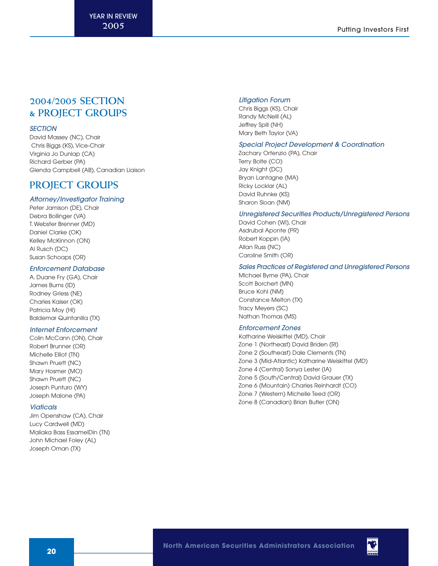## **2004/2005 SECTION & PROJECT GROUPS**

## **SECTION**

David Massey (NC), Chair Chris Biggs (KS), Vice-Chair Virginia Jo Dunlap (CA) Richard Gerber (PA) Glenda Campbell (AB), Canadian Liaison

## **PROJECT GROUPS**

## Attorney/Investigator Training

Peter Jamison (DE), Chair Debra Bollinger (VA) T. Webster Brenner (MD) Daniel Clarke (OK) Kelley McKinnon (ON) Al Rusch (DC) Susan Schoaps (OR)

### Enforcement Database

A. Duane Fry (GA), Chair James Burns (ID) Rodney Griess (NE) Charles Kaiser (OK) Patricia Moy (HI) Baldemar Quintanilla (TX)

### Internet Enforcement

Colin McCann (ON), Chair Robert Brunner (OR) Michelle Elliot (TN) Shawn Pruett (NC) Mary Hosmer (MO) Shawn Pruett (NC) Joseph Punturo (WY) Joseph Malone (PA)

#### **Viaticals**

Jim Openshaw (CA), Chair Lucy Cardwell (MD) Maliaka Bass EssamelDin (TN) John Michael Foley (AL) Joseph Oman (TX)

## Litigation Forum

Chris Biggs (KS), Chair Randy McNeill (AL) Jeffrey Spill (NH) Mary Beth Taylor (VA)

### Special Project Development & Coordination

Zachary Ortenzio (PA), Chair Terry Bolte (CO) Jay Knight (DC) Bryan Lantagne (MA) Ricky Locklar (AL) David Ruhnke (KS) Sharon Sloan (NM)

### Unregistered Securities Products/Unregistered Persons

David Cohen (WI), Chair Asdrubal Aponte (PR) Robert Koppin (IA) Allan Russ (NC) Caroline Smith (OR)

### Sales Practices of Registered and Unregistered Persons

Michael Byrne (PA), Chair Scott Borchert (MN) Bruce Kohl (NM) Constance Melton (TX) Tracy Meyers (SC) Nathan Thomas (MS)

#### Enforcement Zones

Katharine Weiskittel (MD), Chair Zone 1 (Northeast) David Briden (RI) Zone 2 (Southeast) Dale Clements (TN) Zone 3 (Mid-Atlantic) Katharine Weiskittel (MD) Zone 4 (Central) Sonya Lester (IA) Zone 5 (South/Central) David Grauer (TX) Zone 6 (Mountain) Charles Reinhardt (CO) Zone 7 (Western) Michelle Teed (OR) Zone 8 (Canadian) Brian Butler (ON)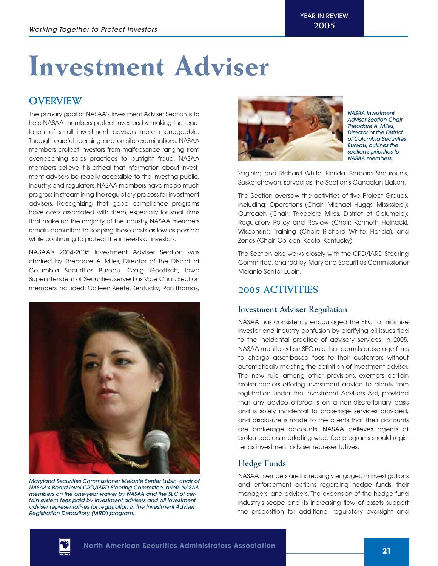## **Investment Adviser**

## **OVERVIEW**

The primary goal of NASAA's Investment Adviser Section is to help NASAA members protect investors by making the regulation of small investment advisers more manageable. Through careful licensing and on-site examinations, NASAA members protect investors from malfeasance ranging from overreaching sales practices to outright fraud. NASAA members believe it is critical that information about investment advisers be readily accessible to the investing public, industry, and regulators. NASAA members have made much progress in streamlining the regulatory process for investment advisers. Recognizing that good compliance programs have costs associated with them, especially for small firms that make up the majority of the industry, NASAA members remain commited to keeping these costs as low as possible while continuing to protect the interests of investors.

NASAA's 2004-2005 Investment Adviser Section was chaired by Theodore A. Miles, Director of the District of Columbia Securities Bureau. Craig Goettsch, Iowa Superintendent of Securities, served as Vice Chair. Section members included: Colleen Keefe, Kentucky; Ron Thomas,



Maryland Securities Commissioner Melanie Senter Lubin, chair of NASAA's Board-level CRD/IARD Steering Committee, briefs NASAA members on the one-year waiver by NASAA and the SEC of certain system fees paid by investment advisers and all investment adviser representatives for registration in the Investment Adviser Registration Depository (IARD) program.



NASAA Investment Adviser Section Chair Theodore A. Miles, Director of the District of Columbia Securities Bureau, outlines the section's priorities to NASAA members.

Virginia; and Richard White, Florida. Barbara Shourounis, Saskatchewan, served as the Section's Canadian Liaison.

The Section oversaw the activities of five Project Groups, including: Operations (Chair: Michael Huggs, Mississippi); Outreach (Chair: Theodore Miles, District of Columbia); Regulatory Policy and Review (Chair: Kenneth Hojnacki, Wisconsin); Training (Chair: Richard White, Florida), and Zones (Chair, Colleen, Keefe, Kentucky).

The Section also works closely with the CRD/IARD Steering Committee, chaired by Maryland Securities Commissioner Melanie Senter Lubin.

## **2005 ACTIVITIES**

## **Investment Adviser Regulation**

NASAA has consistently encouraged the SEC to minimize investor and industry confusion by clarifying all issues tied to the incidental practice of advisory services. In 2005, NASAA monitored an SEC rule that permits brokerage firms to charge asset-based fees to their customers without automatically meeting the definition of investment adviser. The new rule, among other provisions, exempts certain broker-dealers offering investment advice to clients from registration under the Investment Advisers Act, provided that any advice offered is on a non-discretionary basis and is solely incidental to brokerage services provided, and disclosure is made to the clients that their accounts are brokerage accounts. NASAA believes agents of broker-dealers marketing wrap fee programs should register as investment adviser representatives.

## **Hedge Funds**

NASAA members are increasingly engaged in investigations and enforcement actions regarding hedge funds, their managers, and advisers. The expansion of the hedge fund industry's scope and its increasing flow of assets support the proposition for additional regulatory oversight and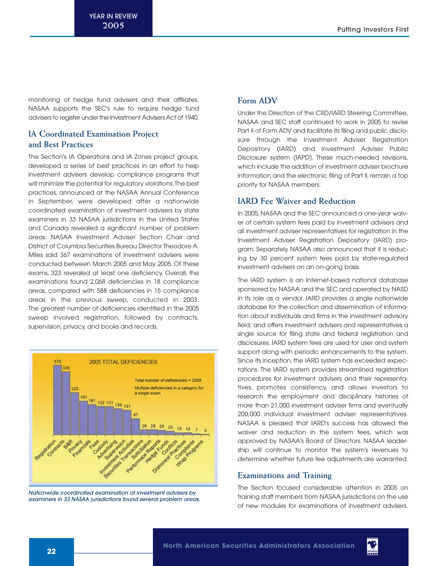monitoring of hedge fund advisers and their affiliates. NASAA supports the SEC's rule to require hedge fund advisers to register under the Investment Advisers Act of 1940.

## **IA Coordinated Examination Project and Best Practices**

The Section's IA Operations and IA Zones project groups, developed a series of best practices in an effort to help investment advisers develop compliance programs that will minimize the potential for regulatory violations.The best practices, announced at the NASAA Annual Conference in September, were developed after a nationwide coordinated examination of investment advisers by state examiners in 33 NASAA jurisdictions in the United States and Canada revealed a significant number of problem areas. NASAA Investment Adviser Section Chair and District of Columbia Securities Bureau Director Theodore A. Miles said 367 examinations of investment advisers were conducted between March 2005 and May 2005. Of these exams, 323 revealed at least one deficiency. Overall, the examinations found 2,068 deficiencies in 18 compliance areas, compared with 588 deficiencies in 15 compliance areas in the previous sweep, conducted in 2003. The greatest number of deficiencies identified in the 2005 sweep involved registration, followed by contracts, supervision, privacy, and books and records.



Nationwide coordinated examination of investment advisers by examiners in 33 NASAA jurisdictions found several problem areas.

## **Form ADV**

Under the Direction of the CRD/IARD Steering Committee, NASAA and SEC staff continued to work in 2005 to revise Part II of Form ADV and facilitate its filing and public disclosure through the Investment Adviser Registration Depository (IARD) and Investment Adviser Public Disclosure system (IAPD). These much-needed revisions, which include the addition of investment adviser brochure information and the electronic filing of Part II, remain a top priority for NASAA members.

## **IARD Fee Waiver and Reduction**

In 2005, NASAA and the SEC announced a one-year waiver of certain system fees paid by investment advisers and all investment adviser representatives for registration in the Investment Adviser Registration Depository (IARD) program. Separately, NASAA also announced that it is reducing by 30 percent system fees paid by state-regulated investment advisers on an on-going basis.

The IARD system is an Internet-based national database sponsored by NASAA and the SEC and operated by NASD in its role as a vendor. IARD provides a single nationwide database for the collection and dissemination of information about individuals and firms in the investment advisory field; and offers investment advisers and representatives a single source for filing state and federal registration and disclosures. IARD system fees are used for user and system support along with periodic enhancements to the system. Since its inception, the IARD system has exceeded expectations. The IARD system provides streamlined registration procedures for investment advisers and their representatives, promotes consistency, and allows investors to research the employment and disciplinary histories of more than 21,000 investment adviser firms and eventually 200,000 individual investment adviser representatives. NASAA is pleased that IARD's success has allowed the waiver and reduction in the system fees, which was approved by NASAA's Board of Directors. NASAA leadership will continue to monitor the system's revenues to determine whether future fee adjustments are warranted.

## **Examinations and Training**

The Section focused considerable attention in 2005 on training staff members from NASAA jurisdictions on the use of new modules for examinations of investment advisers.

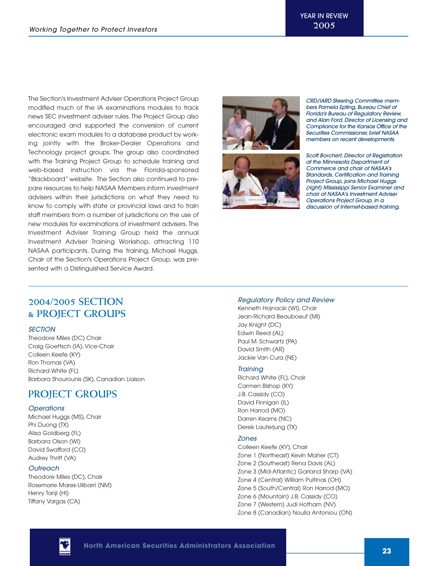The Section's Investment Adviser Operations Project Group modified much of the IA examinations modules to track news SEC investment adviser rules. The Project Group also encouraged and supported the conversion of current electronic exam modules to a database product by working jointly with the Broker-Dealer Operations and Technology project groups. The group also coordinated with the Training Project Group to schedule training and web-based instruction via the Florida-sponsored "Blackboard" website. The Section also continued to prepare resources to help NASAA Members inform investment advisers within their jurisdictions on what they need to know to comply with state or provincial laws and to train staff members from a number of jurisdictions on the use of new modules for examinations of investment advisers. The Investment Adviser Training Group held the annual Investment Adviser Training Workshop, attracting 110 NASAA participants. During the training, Michael Huggs, Chair of the Section's Operations Project Group, was presented with a Distinguished Service Award.



CRD/IARD Steering Committee members Pamela Epting, Bureau Chief of Florida's Bureau of Regulatory Review, and Alan Ford, Director of Licensing and Compliance for the Kansas Office of the Securities Commissioner, brief NASAA members on recent developments.

Scott Borchert, Director of Registration at the Minnesota Department of Commerce and chair of NASAA's Standards, Certification and Training Project Group, joins Michael Huggs (right) Mississippi Senior Examiner and chair of NASAA's Investment Adviser Operations Project Group, in a discussion of Internet-based training.

## **2004/2005 SECTION & PROJECT GROUPS**

## **SECTION**

Theodore Miles (DC) Chair Craig Goettsch (IA), Vice-Chair Colleen Keefe (KY) Ron Thomas (VA) Richard White (FL) Barbara Shourounis (SK), Canadian Liaison

## **PROJECT GROUPS**

## **Operations**

Michael Huggs (MS), Chair Phi Duong (TX) Alisa Goldberg (FL) Barbara Olson (WI) David Swafford (CO) Audrey Thrift (VA)

#### **Outreach**

Theodore Miles (DC), Chair Rosemarie Mares-Ulibarri (NM) Henry Tanji (HI) Tiffany Vargas (CA)

## Regulatory Policy and Review

Kenneth Hojnacki (WI), Chair Jean-Richard Beauboeuf (MI) Jay Knight (DC) Edwin Reed (AL) Paul M. Schwartz (PA) David Smith (AR) Jackie Van Cura (NE)

#### **Training**

Richard White (FL), Chair Carmen Bishop (KY) J.B. Cassidy (CO) David Finnigan (IL) Ron Harrod (MO) Darren Kearns (NC) Derek Lauterjung (TX)

### Zones

Colleen Keefe (KY), Chair Zone 1 (Northeast) Kevin Maher (CT) Zone 2 (Southeast) Rena Davis (AL) Zone 3 (Mid-Atlantic) Garland Sharp (VA) Zone 4 (Central) William Pultinas (OH) Zone 5 (South/Central) Ron Harrod (MO) Zone 6 (Mountain) J.B. Cassidy (CO) Zone 7 (Western) Judi Hotham (NV) Zone 8 (Canadian) Noulla Antoniou (ON)

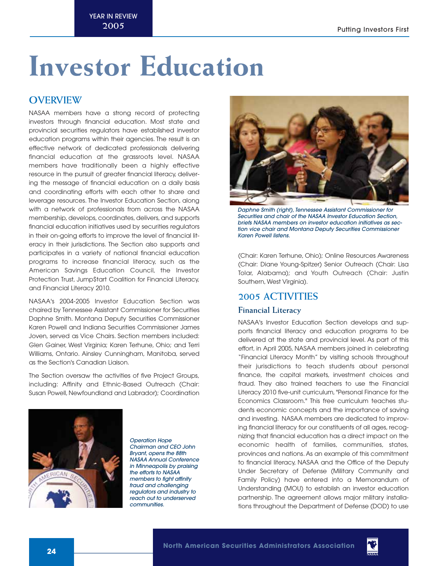## **Investor Education**

## **OVERVIEW**

NASAA members have a strong record of protecting investors through financial education. Most state and provincial securities regulators have established investor education programs within their agencies. The result is an effective network of dedicated professionals delivering financial education at the grassroots level. NASAA members have traditionally been a highly effective resource in the pursuit of greater financial literacy, delivering the message of financial education on a daily basis and coordinating efforts with each other to share and leverage resources. The Investor Education Section, along with a network of professionals from across the NASAA membership, develops, coordinates, delivers, and supports financial education initiatives used by securities regulators in their on-going efforts to improve the level of financial literacy in their jurisdictions. The Section also supports and participates in a variety of national financial education programs to increase financial literacy, such as the American Savings Education Council, the Investor Protection Trust, Jump\$tart Coalition for Financial Literacy, and Financial Literacy 2010.

NASAA's 2004-2005 Investor Education Section was chaired by Tennessee Assistant Commissioner for Securities Daphne Smith. Montana Deputy Securities Commissioner Karen Powell and Indiana Securities Commissioner James Joven, served as Vice Chairs. Section members included: Glen Gainer, West Virginia; Karen Terhune, Ohio; and Terri Williams, Ontario. Ainsley Cunningham, Manitoba, served as the Section's Canadian Liaison.

The Section oversaw the activities of five Project Groups, including: Affinity and Ethnic-Based Outreach (Chair: Susan Powell, Newfoundland and Labrador); Coordination



Operation Hope Chairman and CEO John Bryant, opens the 88th NASAA Annual Conference in Minneapolis by praising the efforts to NASAA members to fight affinity fraud and challenging regulators and industry to reach out to underserved communities.



Daphne Smith (right), Tennessee Assistant Commissioner for Securities and chair of the NASAA Investor Education Section, briefs NASAA members on investor education initiatives as section vice chair and Montana Deputy Securities Commissioner Karen Powell listens.

(Chair: Karen Terhune, Ohio); Online Resources Awareness (Chair: Diane Young-Spitzer) Senior Outreach (Chair: Lisa Tolar, Alabama); and Youth Outreach (Chair: Justin Southern, West Virginia).

## **2005 ACTIVITIES**

## **Financial Literacy**

NASAA's Investor Education Section develops and supports financial literacy and education programs to be delivered at the state and provincial level. As part of this effort, in April 2005, NASAA members joined in celebrating "Financial Literacy Month" by visiting schools throughout their jurisdictions to teach students about personal finance, the capital markets, investment choices and fraud. They also trained teachers to use the Financial Literacy 2010 five-unit curriculum, "Personal Finance for the Economics Classroom." This free curriculum teaches students economic concepts and the importance of saving and investing. NASAA members are dedicated to improving financial literacy for our constituents of all ages, recognizing that financial education has a direct impact on the economic health of families, communities, states, provinces and nations. As an example of this commitment to financial literacy, NASAA and the Office of the Deputy Under Secretary of Defense (Military Community and Family Policy) have entered into a Memorandum of Understanding (MOU) to establish an investor education partnership. The agreement allows major military installations throughout the Department of Defense (DOD) to use

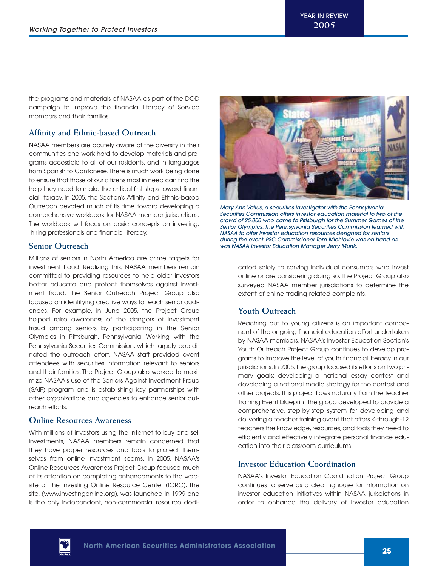the programs and materials of NASAA as part of the DOD campaign to improve the financial literacy of Service members and their families.

## **Affinity and Ethnic-based Outreach**

NASAA members are acutely aware of the diversity in their communities and work hard to develop materials and programs accessible to all of our residents, and in languages from Spanish to Cantonese.There is much work being done to ensure that those of our citizens most in need can find the help they need to make the critical first steps toward financial literacy. In 2005, the Section's Affinity and Ethnic-based Outreach devoted much of its time toward developing a comprehensive workbook for NASAA member jurisdictions. The workbook will focus on basic concepts on investing, hiring professionals and financial literacy.

## **Senior Outreach**

Millions of seniors in North America are prime targets for investment fraud. Realizing this, NASAA members remain committed to providing resources to help older investors better educate and protect themselves against investment fraud. The Senior Outreach Project Group also focused on identifying creative ways to reach senior audiences. For example, in June 2005, the Project Group helped raise awareness of the dangers of investment fraud among seniors by participating in the Senior Olympics in Pittsburgh, Pennsylvania. Working with the Pennsylvania Securities Commission, which largely coordinated the outreach effort, NASAA staff provided event attendees with securities information relevant to seniors and their families. The Project Group also worked to maximize NASAA's use of the Seniors Against Investment Fraud (SAIF) program and is establishing key partnerships with other organizations and agencies to enhance senior outreach efforts.

## **Online Resources Awareness**

With millions of investors using the Internet to buy and sell investments, NASAA members remain concerned that they have proper resources and tools to protect themselves from online investment scams. In 2005, NASAA's Online Resources Awareness Project Group focused much of its attention on completing enhancements to the website of the Investing Online Resource Center (IORC). The site, (www.investingonline.org), was launched in 1999 and is the only independent, non-commercial resource dedi-



Mary Ann Vallus, a securities investigator with the Pennsylvania Securities Commission offers investor education material to two of the crowd of 25,000 who came to Pittsburgh for the Summer Games of the Senior Olympics. The Pennsylvania Securities Commission teamed with NASAA to offer investor education resources designed for seniors during the event. PSC Commissioner Tom Michlovic was on hand as was NASAA Investor Education Manager Jerry Munk.

cated solely to serving individual consumers who invest online or are considering doing so. The Project Group also surveyed NASAA member jurisdictions to determine the extent of online trading-related complaints.

## **Youth Outreach**

Reaching out to young citizens is an important component of the ongoing financial education effort undertaken by NASAA members. NASAA's Investor Education Section's Youth Outreach Project Group continues to develop programs to improve the level of youth financial literacy in our jurisdictions. In 2005, the group focused its efforts on two primary goals: developing a national essay contest and developing a national media strategy for the contest and other projects. This project flows naturally from the Teacher Training Event blueprint the group developed to provide a comprehensive, step-by-step system for developing and delivering a teacher training event that offers K-through-12 teachers the knowledge, resources, and tools they need to efficiently and effectively integrate personal finance education into their classroom curriculums.

## **Investor Education Coordination**

NASAA's Investor Education Coordination Project Group continues to serve as a clearinghouse for information on investor education initiatives within NASAA jurisdictions in order to enhance the delivery of investor education

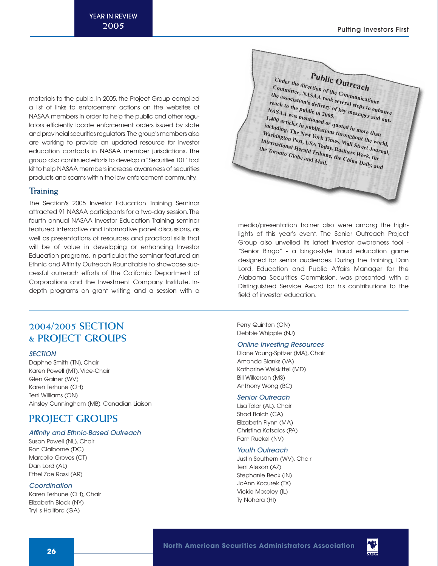materials to the public. In 2005, the Project Group compiled a list of links to enforcement actions on the websites of NASAA members in order to help the public and other regulators efficiently locate enforcement orders issued by state and provincial securities regulators.The group's members also are working to provide an updated resource for investor education contacts in NASAA member jurisdictions. The group also continued efforts to develop a "Securities 101" tool kit to help NASAA members increase awareness of securities products and scams within the law enforcement community.

## **Training**

The Section's 2005 Investor Education Training Seminar attracted 91 NASAA participants for a two-day session.The fourth annual NASAA Investor Education Training seminar featured interactive and informative panel discussions, as well as presentations of resources and practical skills that will be of value in developing or enhancing Investor Education programs. In particular, the seminar featured an Ethnic and Affinity Outreach Roundtable to showcase successful outreach efforts of the California Department of Corporations and the Investment Company Institute. Indepth programs on grant writing and a session with a

## **2004/2005 SECTION & PROJECT GROUPS**

#### **SECTION**

Daphne Smith (TN), Chair Karen Powell (MT), Vice-Chair Glen Gainer (WV) Karen Terhune (OH) Terri Williams (ON) Ainsley Cunningham (MB), Canadian Liaison

## **PROJECT GROUPS**

## Affinity and Ethnic-Based Outreach

Susan Powell (NL), Chair Ron Claiborne (DC) Marcelle Groves (CT) Dan Lord (AL) Ethel Zoe Rossi (AR)

#### **Coordination**

Karen Terhune (OH), Chair Elizabeth Block (NY) Tryllis Hallford (GA)



media/presentation trainer also were among the highlights of this year's event. The Senior Outreach Project Group also unveiled its latest investor awareness tool - "Senior Bingo" - a bingo-style fraud education game designed for senior audiences. During the training, Dan Lord, Education and Public Affairs Manager for the Alabama Securities Commission, was presented with a Distinguished Service Award for his contributions to the field of investor education.

Perry Quinton (ON) Debbie Whipple (NJ)

## Online Investing Resources

Diane Young-Spitzer (MA), Chair Amanda Blanks (VA) Katharine Weiskittel (MD) Bill Wilkerson (MS) Anthony Wong (BC)

#### Senior Outreach

Lisa Tolar (AL), Chair Shad Balch (CA) Elizabeth Flynn (MA) Christina Kotsalos (PA) Pam Ruckel (NV)

#### Youth Outreach

Justin Southern (WV), Chair Terri Alexon (AZ) Stephanie Beck (IN) JoAnn Kocurek (TX) Vickie Moseley (IL) Ty Nohara (HI)

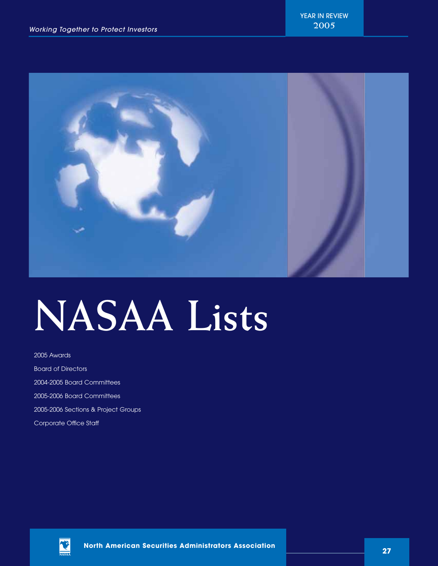

# **NASAA Lists**

2005 Awards Board of Directors 2004-2005 Board Committees 2005-2006 Board Committees 2005-2006 Sections & Project Groups Corporate Office Staff

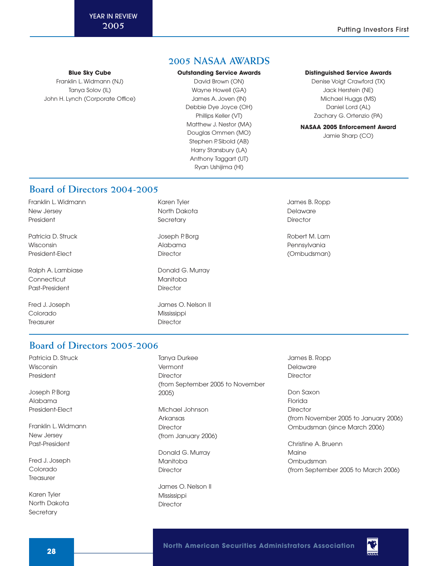**Blue Sky Cube**

Franklin L. Widmann (NJ) Tanya Solov (IL) John H. Lynch (Corporate Office)

## **2005 NASAA AWARDS**

#### **Outstanding Service Awards**

David Brown (ON) Wayne Howell (GA) James A. Joven (IN) Debbie Dye Joyce (OH) Phillips Keller (VT) Matthew J. Nestor (MA) Douglas Ommen (MO) Stephen P. Sibold (AB) Harry Stansbury (LA) Anthony Taggart (UT) Ryan Ushijima (HI)

#### **Distinguished Service Awards**

Denise Voigt Crawford (TX) Jack Herstein (NE) Michael Huggs (MS) Daniel Lord (AL) Zachary G. Ortenzio (PA)

## **NASAA 2005 Enforcement Award**

Jamie Sharp (CO)

## **Board of Directors 2004-2005**

Franklin L. Widmann New Jersey President

Patricia D. Struck Wisconsin President-Elect

Ralph A. Lambiase **Connecticut** Past-President

Fred J. Joseph Colorado **Treasurer** 

Karen Tyler North Dakota **Secretary** 

Joseph P. Borg Alabama **Director** 

Donald G. Murray Manitoba **Director** 

James O. Nelson II Mississippi **Director** 

James B. Ropp Delaware **Director** 

Robert M. Lam Pennsylvania (Ombudsman)

## **Board of Directors 2005-2006**

Patricia D. Struck Wisconsin President

Joseph P. Borg Alabama President-Elect

Franklin L. Widmann New Jersey Past-President

Fred J. Joseph Colorado **Treasurer** 

Karen Tyler North Dakota **Secretary** 

Tanya Durkee Vermont **Director** (from September 2005 to November 2005) Michael Johnson Arkansas **Director** (from January 2006) Donald G. Murray

Manitoba **Director** 

James O. Nelson II Mississippi **Director** 

James B. Ropp Delaware **Director** 

Don Saxon Florida **Director** (from November 2005 to January 2006) Ombudsman (since March 2006)

Christine A. Bruenn Maine Ombudsman (from September 2005 to March 2006)

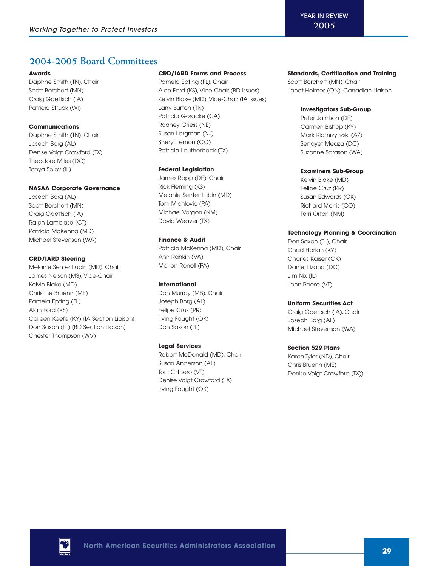## **2004-2005 Board Committees**

#### **Awards**

Daphne Smith (TN), Chair Scott Borchert (MN) Craig Goettsch (IA) Patricia Struck (WI)

## **Communications**

Daphne Smith (TN), Chair Joseph Borg (AL) Denise Voigt Crawford (TX) Theodore Miles (DC) Tanya Solov (IL)

## **NASAA Corporate Governance**

Joseph Borg (AL) Scott Borchert (MN) Craig Goettsch (IA) Ralph Lambiase (CT) Patricia McKenna (MD) Michael Stevenson (WA)

## **CRD/IARD Steering**

Melanie Senter Lubin (MD), Chair James Nelson (MS), Vice-Chair Kelvin Blake (MD) Christine Bruenn (ME) Pamela Epting (FL) Alan Ford (KS) Colleen Keefe (KY) (IA Section Liaison) Don Saxon (FL) [BD Section Liaison] Chester Thompson (WV)

#### **CRD/IARD Forms and Process**

Pamela Epting (FL), Chair Alan Ford (KS), Vice-Chair (BD Issues) Kelvin Blake (MD), Vice-Chair (IA Issues) Larry Burton (TN) Patricia Goracke (CA) Rodney Griess (NE) Susan Largman (NJ) Sheryl Lemon (CO) Patricia Loutherback (TX)

## **Federal Legislation**

James Ropp (DE), Chair Rick Fleming (KS) Melanie Senter Lubin (MD) Tom Michlovic (PA) Michael Vargon (NM) David Weaver (TX)

## **Finance & Audit**

Patricia McKenna (MD), Chair Ann Rankin (VA) Marion Renoll (PA)

## **International**

Don Murray (MB), Chair Joseph Borg (AL) Felipe Cruz (PR) Irving Faught (OK) Don Saxon (FL)

#### **Legal Services**

Robert McDonald (MD), Chair Susan Anderson (AL) Toni Clithero (VT) Denise Voigt Crawford (TX) Irving Faught (OK)

### **Standards, Certification and Training**

Scott Borchert (MN), Chair Janet Holmes (ON), Canadian Liaison

#### **Investigators Sub-Group**

Peter Jamison (DE) Carmen Bishop (KY) Mark Klamrzynzski (AZ) Senayet Meaza (DC) Suzanne Sarason (WA)

## **Examiners Sub-Group**

Kelvin Blake (MD) Felipe Cruz (PR) Susan Edwards (OK) Richard Morris (CO) Terri Orton (NM)

## **Technology Planning & Coordination**

Don Saxon (FL), Chair Chad Harlan (KY) Charles Kaiser (OK) Daniel Lizana (DC) Jim Nix (IL) John Reese (VT)

## **Uniform Securities Act**

Craig Goettsch (IA), Chair Joseph Borg (AL) Michael Stevenson (WA)

## **Section 529 Plans**

Karen Tyler (ND), Chair Chris Bruenn (ME) Denise Voigt Crawford (TX))

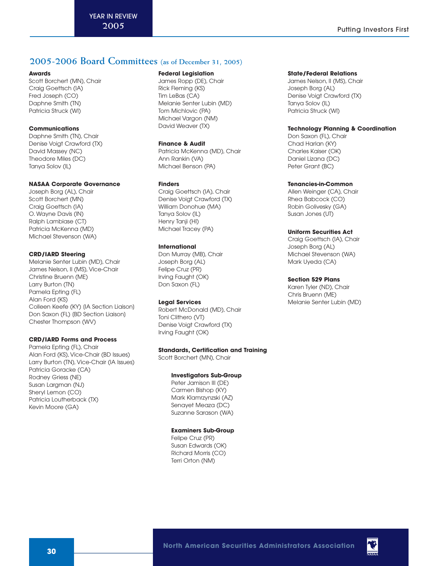## **2005-2006 Board Committees (as of December 31, 2005)**

#### **Awards**

Scott Borchert (MN), Chair Craig Goettsch (IA) Fred Joseph (CO) Daphne Smith (TN) Patricia Struck (WI)

## **Communications**

Daphne Smith (TN), Chair Denise Voigt Crawford (TX) David Massey (NC) Theodore Miles (DC) Tanya Solov (IL)

#### **NASAA Corporate Governance**

Joseph Borg (AL), Chair Scott Borchert (MN) Craig Goettsch (IA) O. Wayne Davis (IN) Ralph Lambiase (CT) Patricia McKenna (MD) Michael Stevenson (WA)

#### **CRD/IARD Steering**

Melanie Senter Lubin (MD), Chair James Nelson, II (MS), Vice-Chair Christine Bruenn (ME) Larry Burton (TN) Pamela Epting (FL) Alan Ford (KS) Colleen Keefe (KY) (IA Section Liaison) Don Saxon (FL) [BD Section Liaison] Chester Thompson (WV)

### **CRD/IARD Forms and Process**

Pamela Epting (FL), Chair Alan Ford (KS), Vice-Chair (BD Issues) Larry Burton (TN), Vice-Chair (IA Issues) Patricia Goracke (CA) Rodney Griess (NE) Susan Largman (NJ) Sheryl Lemon (CO) Patricia Loutherback (TX) Kevin Moore (GA)

#### **Federal Legislation**

James Ropp (DE), Chair Rick Fleming (KS) Tim LeBas (CA) Melanie Senter Lubin (MD) Tom Michlovic (PA) Michael Vargon (NM) David Weaver (TX)

#### **Finance & Audit**

Patricia McKenna (MD), Chair Ann Rankin (VA) Michael Benson (PA)

#### **Finders**

Craig Goettsch (IA), Chair Denise Voigt Crawford (TX) William Donohue (MA) Tanya Solov (IL) Henry Tanji (HI) Michael Tracey (PA)

#### **International**

Don Murray (MB), Chair Joseph Borg (AL) Felipe Cruz (PR) Irving Faught (OK) Don Saxon (FL)

#### **Legal Services**

Robert McDonald (MD), Chair Toni Clithero (VT) Denise Voigt Crawford (TX) Irving Faught (OK)

#### **Standards, Certification and Training**

Scott Borchert (MN), Chair

#### **Investigators Sub-Group**

Peter Jamison III (DE) Carmen Bishop (KY) Mark Klamrzynzski (AZ) Senayet Meaza (DC) Suzanne Sarason (WA)

#### **Examiners Sub-Group**

Felipe Cruz (PR) Susan Edwards (OK) Richard Morris (CO) Terri Orton (NM)

#### **State/Federal Relations**

James Nelson, II (MS), Chair Joseph Borg (AL) Denise Voigt Crawford (TX) Tanya Solov (IL) Patricia Struck (WI)

### **Technology Planning & Coordination**

Don Saxon (FL), Chair Chad Harlan (KY) Charles Kaiser (OK) Daniel Lizana (DC) Peter Grant (BC)

#### **Tenancies-in-Common**

Allen Weinger (CA), Chair Rhea Babcock (CO) Robin Golivesky (GA) Susan Jones (UT)

### **Uniform Securities Act**

Craig Goettsch (IA), Chair Joseph Borg (AL) Michael Stevenson (WA) Mark Uyeda (CA)

#### **Section 529 Plans**

Karen Tyler (ND), Chair Chris Bruenn (ME) Melanie Senter Lubin (MD)

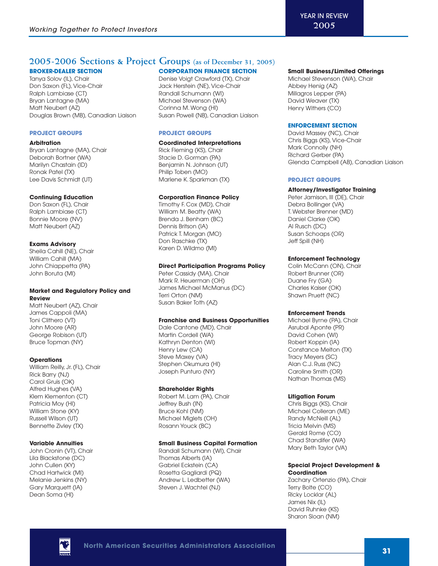## **2005-2006 Sections & Project Groups (as of December 31, 2005)**

## **BROKER-DEALER SECTION**

Tanya Solov (IL), Chair Don Saxon (FL), Vice-Chair Ralph Lambiase (CT) Bryan Lantagne (MA) Matt Neubert (AZ) Douglas Brown (MB), Canadian Liaison

#### **PROJECT GROUPS**

#### **Arbitration**

Bryan Lantagne (MA), Chair Deborah Bortner (WA) Marilyn Chastain (ID) Ronak Patel (TX) Lee Davis Schmidt (UT)

#### **Continuing Education**

Don Saxon (FL), Chair Ralph Lambiase (CT) Bonnie Moore (NV) Matt Neubert (AZ)

## **Exams Advisory**

Sheila Cahill (NE), Chair William Cahill (MA) John Chiappetta (PA) John Boruta (MI)

### **Market and Regulatory Policy and Review**

Matt Neubert (AZ), Chair James Cappoli (MA) Toni Clithero (VT) John Moore (AR) George Robison (UT) Bruce Topman (NY)

## **Operations**

William Reilly, Jr. (FL), Chair Rick Barry (NJ) Carol Gruis (OK) Alfred Hughes (VA) Klem Klementon (CT) Patricia Moy (HI) William Stone (KY) Russell Wilson (UT) Bennette Zivley (TX)

## **Variable Annuities**

John Cronin (VT), Chair Lila Blackstone (DC) John Cullen (KY) Chad Hartwick (MI) Melanie Jenkins (NY) Gary Marquett (IA) Dean Soma (HI)

## **CORPORATION FINANCE SECTION**

Denise Voigt Crawford (TX), Chair Jack Herstein (NE), Vice-Chair Randall Schumann (WI) Michael Stevenson (WA) Corinna M. Wong (HI) Susan Powell (NB), Canadian Liaison

## **PROJECT GROUPS**

#### **Coordinated Interpretations**

Rick Fleming (KS), Chair Stacie D. Gorman (PA) Benjamin N. Johnson (UT) Philip Toben (MO) Marlene K. Sparkman (TX)

#### **Corporation Finance Policy**

Timothy F. Cox (MD), Chair William M. Beatty (WA) Brenda J. Benham (BC) Dennis Britson (IA) Patrick T. Morgan (MO) Don Raschke (TX) Karen D. Wildmo (MI)

#### **Direct Participation Programs Policy**

Peter Cassidy (MA), Chair Mark R. Heuerman (OH) James Michael McManus (DC) Terri Orton (NM) Susan Baker Toth (AZ)

#### **Franchise and Business Opportunities**

Dale Cantone (MD), Chair Martin Cordell (WA) Kathryn Denton (WI) Henry Lew (CA) Steve Maxey (VA) Stephen Okumura (HI) Joseph Punturo (NY)

#### **Shareholder Rights**

Robert M. Lam (PA), Chair Jeffrey Bush (IN) Bruce Kohl (NM) Michael Miglets (OH) Rosann Youck (BC)

#### **Small Business Capital Formation**

Randall Schumann (WI), Chair Thomas Alberts (IA) Gabriel Eckstein (CA) Rosetta Gagliardi (PQ) Andrew L. Ledbetter (WA) Steven J. Wachtel (NJ)

#### **Small Business/Limited Offerings**

Michael Stevenson (WA), Chair Abbey Henig (AZ) Millagros Lepper (PA) David Weaver (TX) Henry Withers (CO)

#### **ENFORCEMENT SECTION**

David Massey (NC), Chair Chris Biggs (KS), Vice-Chair Mark Connolly (NH) Richard Gerber (PA) Glenda Campbell (AB), Canadian Liaison

#### **PROJECT GROUPS**

#### **Attorney/Investigator Training**

Peter Jamison, III (DE), Chair Debra Bollinger (VA) T. Webster Brenner (MD) Daniel Clarke (OK) Al Rusch (DC) Susan Schoaps (OR) Jeff Spill (NH)

### **Enforcement Technology**

Colin McCann (ON), Chair Robert Brunner (OR) Duane Fry (GA) Charles Kaiser (OK) Shawn Pruett (NC)

#### **Enforcement Trends**

Michael Byrne (PA), Chair Asrubal Aponte (PR) David Cohen (WI) Robert Koppin (IA) Constance Melton (TX) Tracy Meyers (SC) Alan C.J. Russ (NC) Caroline Smith (OR) Nathan Thomas (MS)

#### **Litigation Forum**

Chris Biggs (KS), Chair Michael Colleran (ME) Randy McNeill (AL) Tricia Melvin (MS) Gerald Rome (CO) Chad Standifer (WA) Mary Beth Taylor (VA)

### **Special Project Development & Coordination**

Zachary Ortenzio (PA), Chair Terry Bolte (CO) Ricky Locklar (AL) James Nix (IL) David Ruhnke (KS) Sharon Sloan (NM)